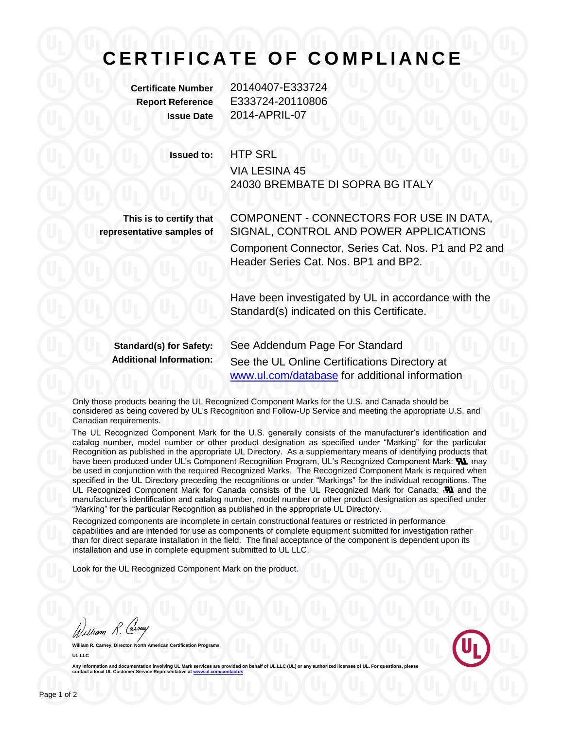## **C E R T I F I C A T E O F C O M P L I A N C E**

**Certificate Number** 20140407-E333724 **Report Reference** E333724-20110806 **Issue Date** 2014-APRIL-07

**Issued to:** HTP SRL VIA LESINA 45 24030 BREMBATE DI SOPRA BG ITALY

**This is to certify that representative samples of** COMPONENT - CONNECTORS FOR USE IN DATA, SIGNAL, CONTROL AND POWER APPLICATIONS Component Connector, Series Cat. Nos. P1 and P2 and Header Series Cat. Nos. BP1 and BP2.

Have been investigated by UL in accordance with the Standard(s) indicated on this Certificate.

**Standard(s) for Safety:** See Addendum Page For Standard **Additional Information:** See the UL Online Certifications Directory at [www.ul.com/database](http://www.ul.com/database) for additional information

Only those products bearing the UL Recognized Component Marks for the U.S. and Canada should be considered as being covered by UL's Recognition and Follow-Up Service and meeting the appropriate U.S. and Canadian requirements.

The UL Recognized Component Mark for the U.S. generally consists of the manufacturer's identification and catalog number, model number or other product designation as specified under "Marking" for the particular Recognition as published in the appropriate UL Directory. As a supplementary means of identifying products that have been produced under UL's Component Recognition Program, UL's Recognized Component Mark: W, may be used in conjunction with the required Recognized Marks. The Recognized Component Mark is required when specified in the UL Directory preceding the recognitions or under "Markings" for the individual recognitions. The UL Recognized Component Mark for Canada consists of the UL Recognized Mark for Canada:  $\mathbf{N}$  and the manufacturer's identification and catalog number, model number or other product designation as specified under "Marking" for the particular Recognition as published in the appropriate UL Directory.

Recognized components are incomplete in certain constructional features or restricted in performance capabilities and are intended for use as components of complete equipment submitted for investigation rather than for direct separate installation in the field. The final acceptance of the component is dependent upon its installation and use in complete equipment submitted to UL LLC.

Look for the UL Recognized Component Mark on the product.

William R. Carney

**William R. Carney, Director, North American Certification Programs UL LLC**



Any information and documentation involving UL Mark services are provided on behalf of UL LLC (UL) or any authorized licensee of UL **contact a local UL Customer Service Representative at ww**